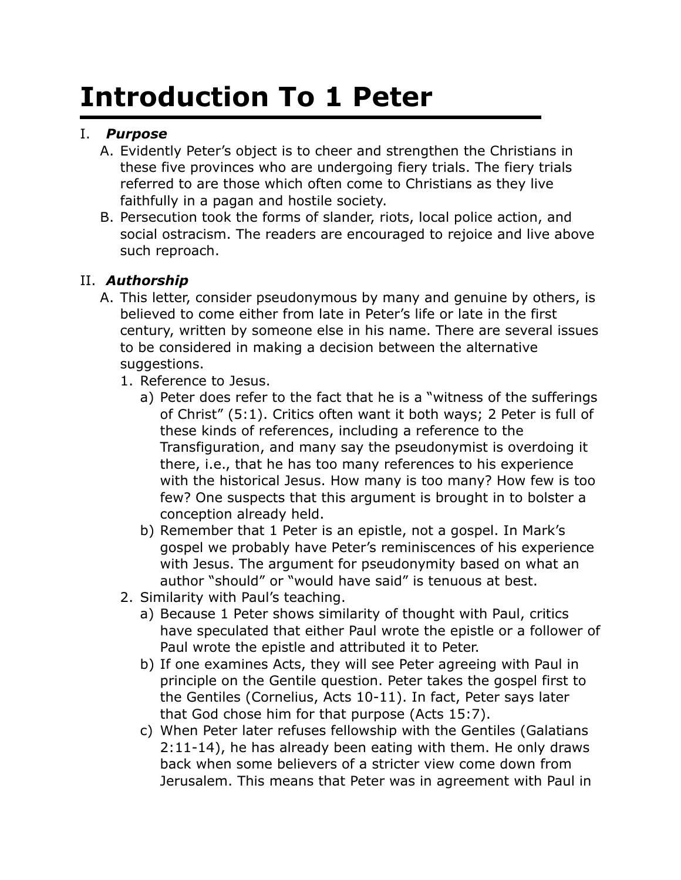## **Introduction To 1 Peter**

## I. *Purpose*

- A. Evidently Peter's object is to cheer and strengthen the Christians in these five provinces who are undergoing fiery trials. The fiery trials referred to are those which often come to Christians as they live faithfully in a pagan and hostile society.
- B. Persecution took the forms of slander, riots, local police action, and social ostracism. The readers are encouraged to rejoice and live above such reproach.

## II. *Authorship*

- A. This letter, consider pseudonymous by many and genuine by others, is believed to come either from late in Peter's life or late in the first century, written by someone else in his name. There are several issues to be considered in making a decision between the alternative suggestions.
	- 1. Reference to Jesus.
		- a) Peter does refer to the fact that he is a "witness of the sufferings of Christ" (5:1). Critics often want it both ways; 2 Peter is full of these kinds of references, including a reference to the Transfiguration, and many say the pseudonymist is overdoing it there, i.e., that he has too many references to his experience with the historical Jesus. How many is too many? How few is too few? One suspects that this argument is brought in to bolster a conception already held.
		- b) Remember that 1 Peter is an epistle, not a gospel. In Mark's gospel we probably have Peter's reminiscences of his experience with Jesus. The argument for pseudonymity based on what an author "should" or "would have said" is tenuous at best.
	- 2. Similarity with Paul's teaching.
		- a) Because 1 Peter shows similarity of thought with Paul, critics have speculated that either Paul wrote the epistle or a follower of Paul wrote the epistle and attributed it to Peter.
		- b) If one examines Acts, they will see Peter agreeing with Paul in principle on the Gentile question. Peter takes the gospel first to the Gentiles (Cornelius, Acts 10-11). In fact, Peter says later that God chose him for that purpose (Acts 15:7).
		- c) When Peter later refuses fellowship with the Gentiles (Galatians 2:11-14), he has already been eating with them. He only draws back when some believers of a stricter view come down from Jerusalem. This means that Peter was in agreement with Paul in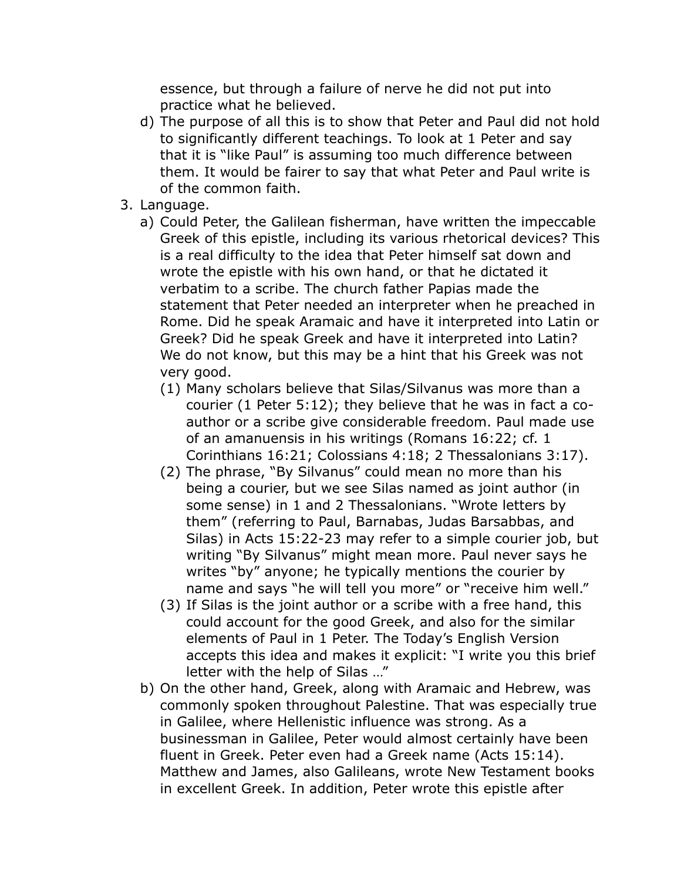essence, but through a failure of nerve he did not put into practice what he believed.

- d) The purpose of all this is to show that Peter and Paul did not hold to significantly different teachings. To look at 1 Peter and say that it is "like Paul" is assuming too much difference between them. It would be fairer to say that what Peter and Paul write is of the common faith.
- 3. Language.
	- a) Could Peter, the Galilean fisherman, have written the impeccable Greek of this epistle, including its various rhetorical devices? This is a real difficulty to the idea that Peter himself sat down and wrote the epistle with his own hand, or that he dictated it verbatim to a scribe. The church father Papias made the statement that Peter needed an interpreter when he preached in Rome. Did he speak Aramaic and have it interpreted into Latin or Greek? Did he speak Greek and have it interpreted into Latin? We do not know, but this may be a hint that his Greek was not very good.
		- (1) Many scholars believe that Silas/Silvanus was more than a courier (1 Peter 5:12); they believe that he was in fact a coauthor or a scribe give considerable freedom. Paul made use of an amanuensis in his writings (Romans 16:22; cf. 1 Corinthians 16:21; Colossians 4:18; 2 Thessalonians 3:17).
		- (2) The phrase, "By Silvanus" could mean no more than his being a courier, but we see Silas named as joint author (in some sense) in 1 and 2 Thessalonians. "Wrote letters by them" (referring to Paul, Barnabas, Judas Barsabbas, and Silas) in Acts 15:22-23 may refer to a simple courier job, but writing "By Silvanus" might mean more. Paul never says he writes "by" anyone; he typically mentions the courier by name and says "he will tell you more" or "receive him well."
		- (3) If Silas is the joint author or a scribe with a free hand, this could account for the good Greek, and also for the similar elements of Paul in 1 Peter. The Today's English Version accepts this idea and makes it explicit: "I write you this brief letter with the help of Silas …"
	- b) On the other hand, Greek, along with Aramaic and Hebrew, was commonly spoken throughout Palestine. That was especially true in Galilee, where Hellenistic influence was strong. As a businessman in Galilee, Peter would almost certainly have been fluent in Greek. Peter even had a Greek name (Acts 15:14). Matthew and James, also Galileans, wrote New Testament books in excellent Greek. In addition, Peter wrote this epistle after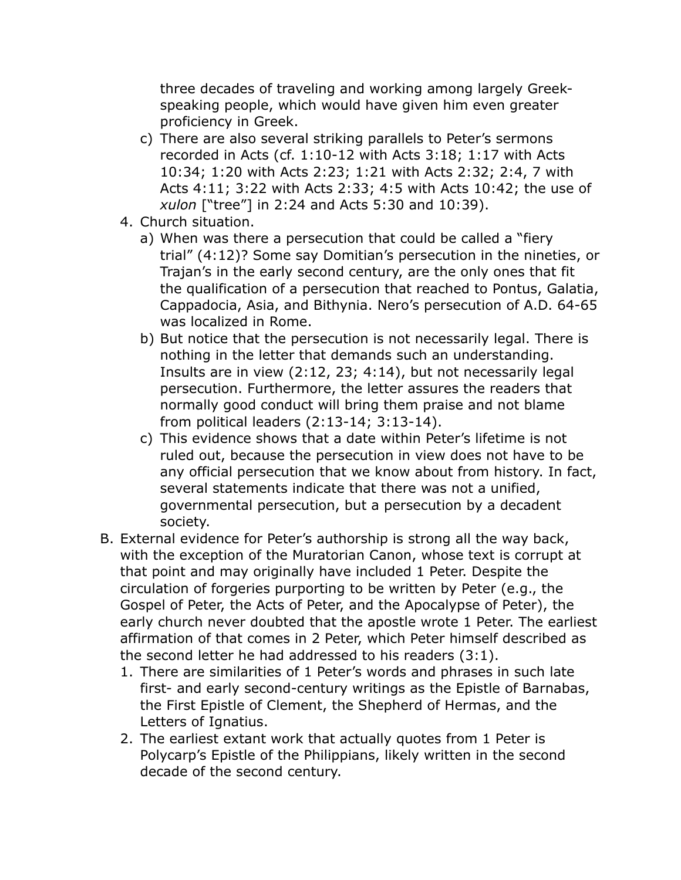three decades of traveling and working among largely Greekspeaking people, which would have given him even greater proficiency in Greek.

- c) There are also several striking parallels to Peter's sermons recorded in Acts (cf. 1:10-12 with Acts 3:18; 1:17 with Acts 10:34; 1:20 with Acts 2:23; 1:21 with Acts 2:32; 2:4, 7 with Acts 4:11; 3:22 with Acts 2:33; 4:5 with Acts 10:42; the use of *xulon* ["tree"] in 2:24 and Acts 5:30 and 10:39).
- 4. Church situation.
	- a) When was there a persecution that could be called a "fiery trial" (4:12)? Some say Domitian's persecution in the nineties, or Trajan's in the early second century, are the only ones that fit the qualification of a persecution that reached to Pontus, Galatia, Cappadocia, Asia, and Bithynia. Nero's persecution of A.D. 64-65 was localized in Rome.
	- b) But notice that the persecution is not necessarily legal. There is nothing in the letter that demands such an understanding. Insults are in view (2:12, 23; 4:14), but not necessarily legal persecution. Furthermore, the letter assures the readers that normally good conduct will bring them praise and not blame from political leaders (2:13-14; 3:13-14).
	- c) This evidence shows that a date within Peter's lifetime is not ruled out, because the persecution in view does not have to be any official persecution that we know about from history. In fact, several statements indicate that there was not a unified, governmental persecution, but a persecution by a decadent society.
- B. External evidence for Peter's authorship is strong all the way back, with the exception of the Muratorian Canon, whose text is corrupt at that point and may originally have included 1 Peter. Despite the circulation of forgeries purporting to be written by Peter (e.g., the Gospel of Peter, the Acts of Peter, and the Apocalypse of Peter), the early church never doubted that the apostle wrote 1 Peter. The earliest affirmation of that comes in 2 Peter, which Peter himself described as the second letter he had addressed to his readers (3:1).
	- 1. There are similarities of 1 Peter's words and phrases in such late first- and early second-century writings as the Epistle of Barnabas, the First Epistle of Clement, the Shepherd of Hermas, and the Letters of Ignatius.
	- 2. The earliest extant work that actually quotes from 1 Peter is Polycarp's Epistle of the Philippians, likely written in the second decade of the second century.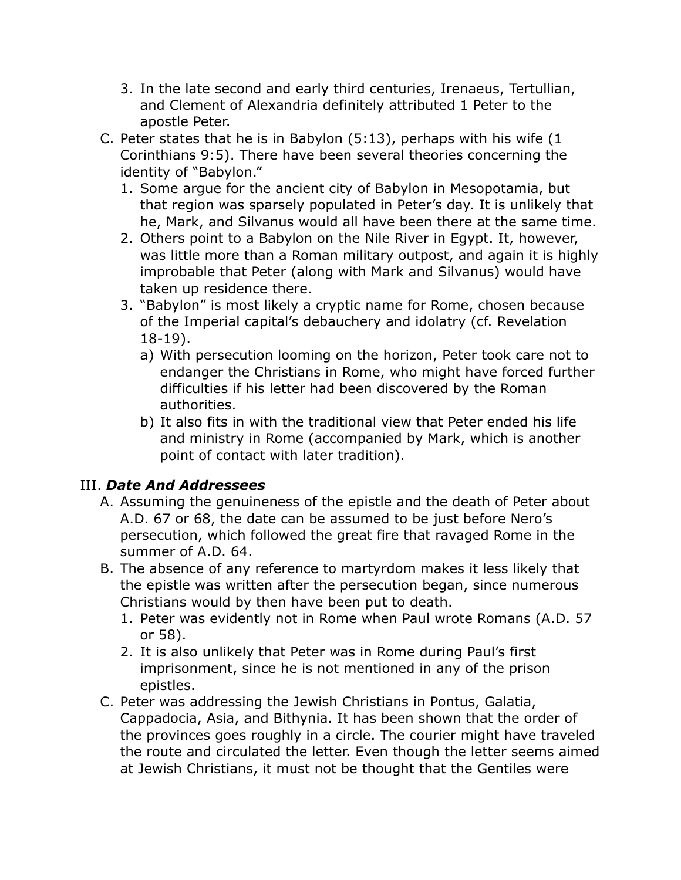- 3. In the late second and early third centuries, Irenaeus, Tertullian, and Clement of Alexandria definitely attributed 1 Peter to the apostle Peter.
- C. Peter states that he is in Babylon (5:13), perhaps with his wife (1 Corinthians 9:5). There have been several theories concerning the identity of "Babylon."
	- 1. Some argue for the ancient city of Babylon in Mesopotamia, but that region was sparsely populated in Peter's day. It is unlikely that he, Mark, and Silvanus would all have been there at the same time.
	- 2. Others point to a Babylon on the Nile River in Egypt. It, however, was little more than a Roman military outpost, and again it is highly improbable that Peter (along with Mark and Silvanus) would have taken up residence there.
	- 3. "Babylon" is most likely a cryptic name for Rome, chosen because of the Imperial capital's debauchery and idolatry (cf. Revelation 18-19).
		- a) With persecution looming on the horizon, Peter took care not to endanger the Christians in Rome, who might have forced further difficulties if his letter had been discovered by the Roman authorities.
		- b) It also fits in with the traditional view that Peter ended his life and ministry in Rome (accompanied by Mark, which is another point of contact with later tradition).

## III. *Date And Addressees*

- A. Assuming the genuineness of the epistle and the death of Peter about A.D. 67 or 68, the date can be assumed to be just before Nero's persecution, which followed the great fire that ravaged Rome in the summer of A.D. 64.
- B. The absence of any reference to martyrdom makes it less likely that the epistle was written after the persecution began, since numerous Christians would by then have been put to death.
	- 1. Peter was evidently not in Rome when Paul wrote Romans (A.D. 57 or 58).
	- 2. It is also unlikely that Peter was in Rome during Paul's first imprisonment, since he is not mentioned in any of the prison epistles.
- C. Peter was addressing the Jewish Christians in Pontus, Galatia, Cappadocia, Asia, and Bithynia. It has been shown that the order of the provinces goes roughly in a circle. The courier might have traveled the route and circulated the letter. Even though the letter seems aimed at Jewish Christians, it must not be thought that the Gentiles were